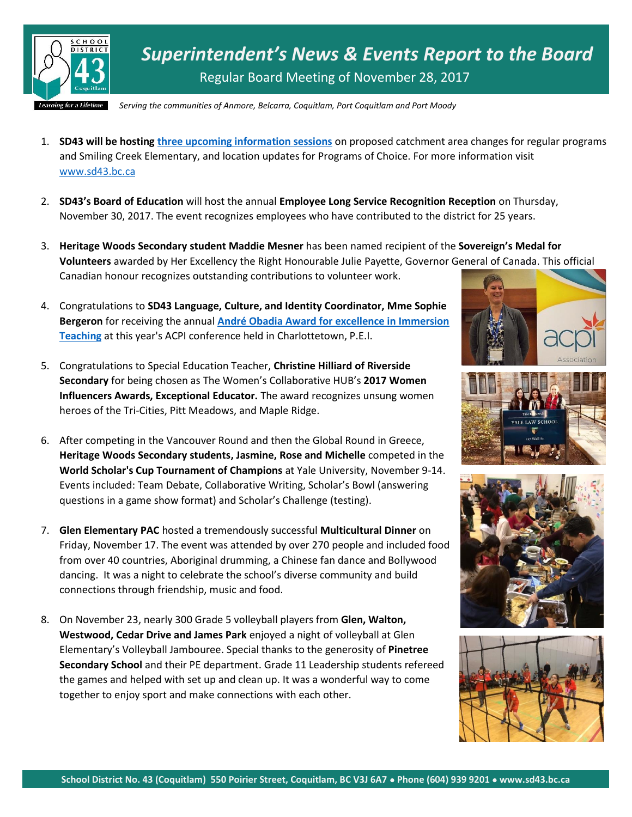

*Superintendent's News & Events Report to the Board* Regular Board Meeting of November 28, 2017

*Serving the communities of Anmore, Belcarra, Coquitlam, Port Coquitlam and Port Moody*

- 1. **SD43 will be hosting [three upcoming information sessions](http://www.sd43.bc.ca/Pages/newsitem.aspx?ItemID=410&ListID=ed550773-e9ff-4e20-9964-4e1b213f518c&TemplateID=Announcement_Item)** on proposed catchment area changes for regular programs and Smiling Creek Elementary, and location updates for Programs of Choice. For more information visit [www.sd43.bc.ca](http://www.sd43.bc.ca/)
- 2. **SD43's Board of Education** will host the annual **Employee Long Service Recognition Reception** on Thursday, November 30, 2017. The event recognizes employees who have contributed to the district for 25 years.
- 3. **Heritage Woods Secondary student Maddie Mesner** has been named recipient of the **Sovereign's Medal for Volunteers** awarded by Her Excellency the Right Honourable Julie Payette, Governor General of Canada. This official Canadian honour recognizes outstanding contributions to volunteer work.
- 4. Congratulations to **SD43 Language, Culture, and Identity Coordinator, Mme Sophie Bergeron** for receiving the annual **[André Obadia Award for excellence in Immersion](http://www.acpi.ca/concours/prix-andre-obadia/recipiendaire-du-prix-andre-obadia-2017)  [Teaching](http://www.acpi.ca/concours/prix-andre-obadia/recipiendaire-du-prix-andre-obadia-2017)** at this year's ACPI conference held in Charlottetown, P.E.I.
- 5. Congratulations to Special Education Teacher, **Christine Hilliard of Riverside Secondary** for being chosen as The Women's Collaborative HUB's **2017 Women Influencers Awards, Exceptional Educator.** The award recognizes unsung women heroes of the Tri-Cities, Pitt Meadows, and Maple Ridge.
- 6. After competing in the Vancouver Round and then the Global Round in Greece, **Heritage Woods Secondary students, Jasmine, Rose and Michelle** competed in the **World Scholar's Cup Tournament of Champions** at Yale University, November 9-14. Events included: Team Debate, Collaborative Writing, Scholar's Bowl (answering questions in a game show format) and Scholar's Challenge (testing).
- 7. **Glen Elementary PAC** hosted a tremendously successful **Multicultural Dinner** on Friday, November 17. The event was attended by over 270 people and included food from over 40 countries, Aboriginal drumming, a Chinese fan dance and Bollywood dancing. It was a night to celebrate the school's diverse community and build connections through friendship, music and food.
- 8. On November 23, nearly 300 Grade 5 volleyball players from **Glen, Walton, Westwood, Cedar Drive and James Park** enjoyed a night of volleyball at Glen Elementary's Volleyball Jambouree. Special thanks to the generosity of **Pinetree Secondary School** and their PE department. Grade 11 Leadership students refereed the games and helped with set up and clean up. It was a wonderful way to come together to enjoy sport and make connections with each other.